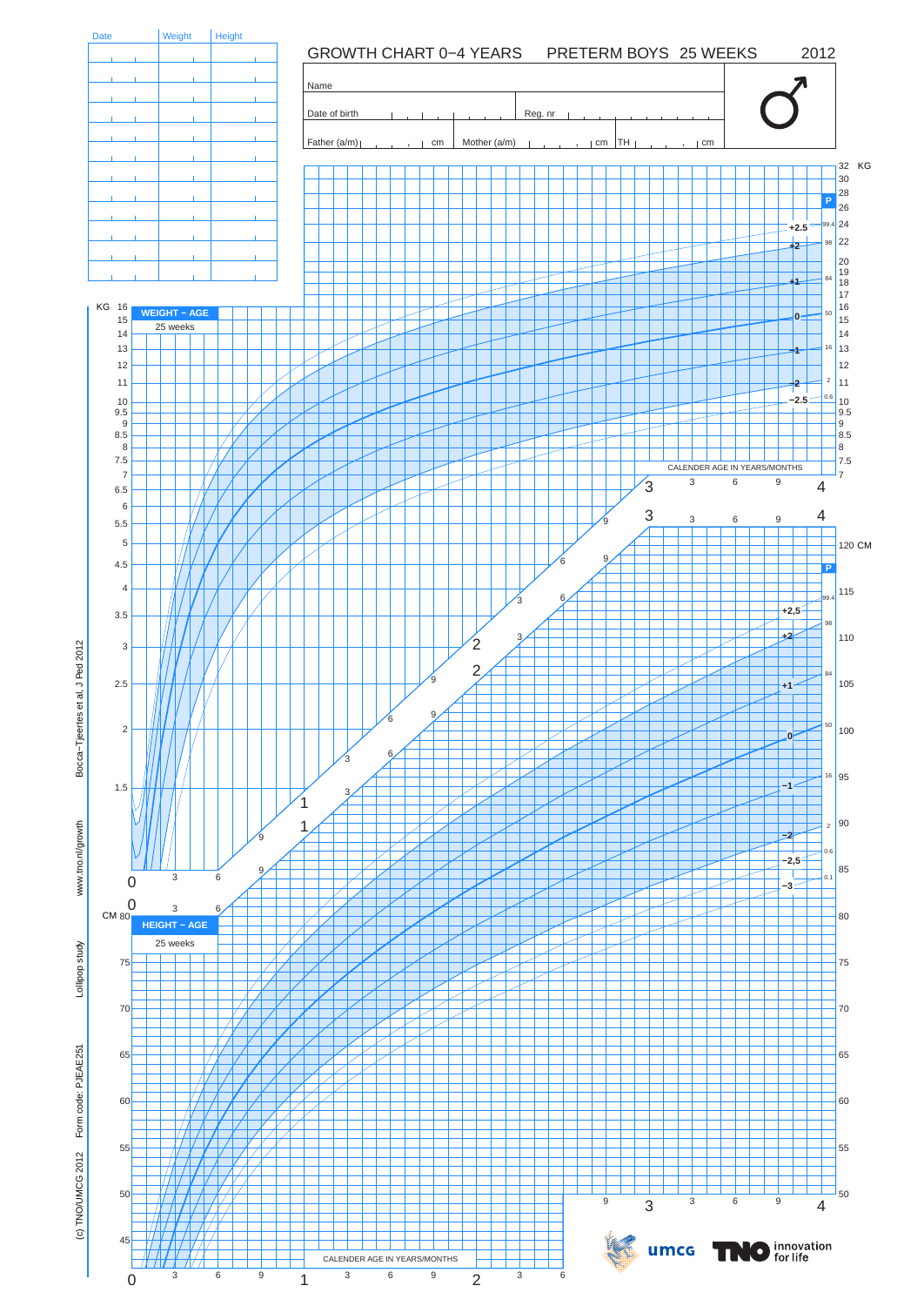